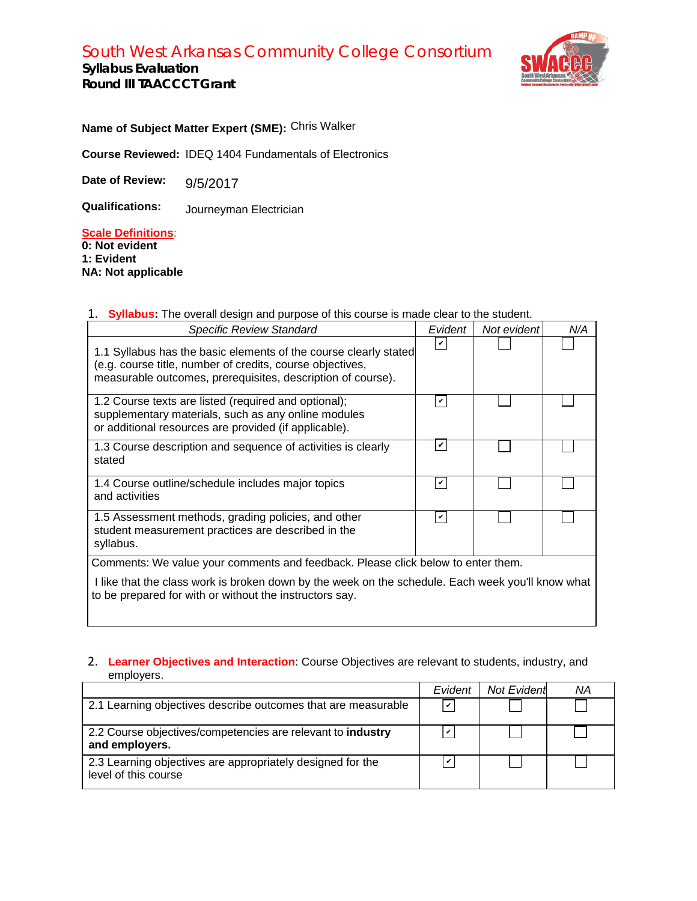# South West Arkansas Community College Consortium

**Syllabus Evaluation Round III TAACCCT Grant**



**Name of Subject Matter Expert (SME):**  Chris Walker

**Course Reviewed:**  IDEQ 1404 Fundamentals of Electronics

**Date of Review:** 

**Qualifications:** 9/5/2017<br>Journeyman Electrician

## **Scale Definitions**:

**0: Not evident 1: Evident NA: Not applicable**

## 1. **Syllabus:** The overall design and purpose of this course is made clear to the student.

| <b>Specific Review Standard</b>                                                                                                                                                              | Evident      | Not evident | N/A |
|----------------------------------------------------------------------------------------------------------------------------------------------------------------------------------------------|--------------|-------------|-----|
| 1.1 Syllabus has the basic elements of the course clearly stated<br>(e.g. course title, number of credits, course objectives,<br>measurable outcomes, prerequisites, description of course). | $\mathbf{v}$ |             |     |
| 1.2 Course texts are listed (required and optional);<br>supplementary materials, such as any online modules<br>or additional resources are provided (if applicable).                         | v            |             |     |
| 1.3 Course description and sequence of activities is clearly<br>stated                                                                                                                       | V            |             |     |
| 1.4 Course outline/schedule includes major topics<br>and activities                                                                                                                          | v            |             |     |
| 1.5 Assessment methods, grading policies, and other<br>student measurement practices are described in the<br>syllabus.                                                                       | v            |             |     |
| Comments: We value your comments and feedback. Please click below to enter them.                                                                                                             |              |             |     |
| I like that the class work is broken down by the week on the schedule. Each week you'll know what<br>to be prepared for with or without the instructors say.                                 |              |             |     |

### 2. **Learner Objectives and Interaction**: Course Objectives are relevant to students, industry, and employers.

|                                                                                    | Evident       | Not Evident | ΝA |
|------------------------------------------------------------------------------------|---------------|-------------|----|
| 2.1 Learning objectives describe outcomes that are measurable                      | $\mathcal{U}$ |             |    |
| 2.2 Course objectives/competencies are relevant to industry<br>and employers.      | v             |             |    |
| 2.3 Learning objectives are appropriately designed for the<br>level of this course | $\checkmark$  |             |    |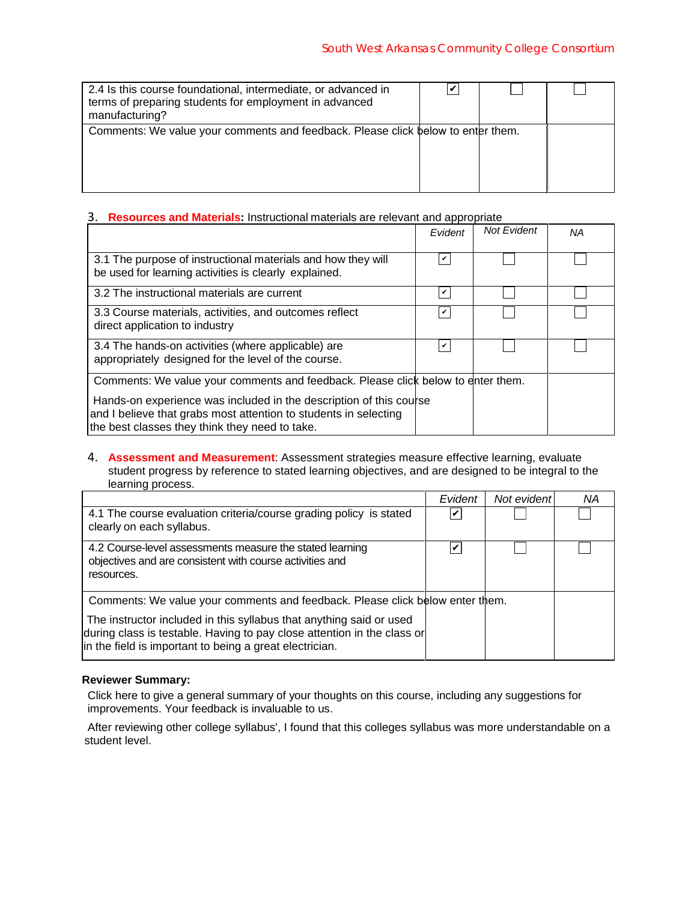| 2.4 Is this course foundational, intermediate, or advanced in<br>terms of preparing students for employment in advanced<br>manufacturing? |  |  |
|-------------------------------------------------------------------------------------------------------------------------------------------|--|--|
| Comments: We value your comments and feedback. Please click below to enter them.                                                          |  |  |

#### 3. **Resources and Materials:** Instructional materials are relevant and appropriate

| 2.4 Is this course foundational, intermediate, or advanced in<br>terms of preparing students for employment in advanced<br>manufacturing?                                                | V            |                    |    |
|------------------------------------------------------------------------------------------------------------------------------------------------------------------------------------------|--------------|--------------------|----|
| Comments: We value your comments and feedback. Please click below to enter them.                                                                                                         |              |                    |    |
| Resources and Materials: Instructional materials are relevant and appropriate<br>3.                                                                                                      |              |                    |    |
|                                                                                                                                                                                          | Evident      | <b>Not Evident</b> | NA |
| 3.1 The purpose of instructional materials and how they will<br>be used for learning activities is clearly explained.                                                                    | $\checkmark$ |                    |    |
| 3.2 The instructional materials are current                                                                                                                                              | $\checkmark$ |                    |    |
| 3.3 Course materials, activities, and outcomes reflect<br>direct application to industry                                                                                                 | $\checkmark$ |                    |    |
| 3.4 The hands-on activities (where applicable) are<br>appropriately designed for the level of the course.                                                                                | $\checkmark$ |                    |    |
| Comments: We value your comments and feedback. Please click below to enter them.                                                                                                         |              |                    |    |
| Hands-on experience was included in the description of this course<br>and I believe that grabs most attention to students in selecting<br>the best classes they think they need to take. |              |                    |    |

4. **Assessment and Measurement**: Assessment strategies measure effective learning, evaluate student progress by reference to stated learning objectives, and are designed to be integral to the learning process.

|                                                                                                                                                                                                           | Evident | Not evident | ΝA |
|-----------------------------------------------------------------------------------------------------------------------------------------------------------------------------------------------------------|---------|-------------|----|
| 4.1 The course evaluation criteria/course grading policy is stated<br>clearly on each syllabus.                                                                                                           | V       |             |    |
| 4.2 Course-level assessments measure the stated learning<br>objectives and are consistent with course activities and<br>resources.                                                                        | V       |             |    |
| Comments: We value your comments and feedback. Please click below enter them.                                                                                                                             |         |             |    |
| The instructor included in this syllabus that anything said or used<br>during class is testable. Having to pay close attention in the class or<br>in the field is important to being a great electrician. |         |             |    |

#### **Reviewer Summary:**

Click here to give a general summary of your thoughts on this course, including any suggestions for improvements. Your feedback is invaluable to us.

 After reviewing other college syllabus', I found that this colleges syllabus was more understandable on a student level.